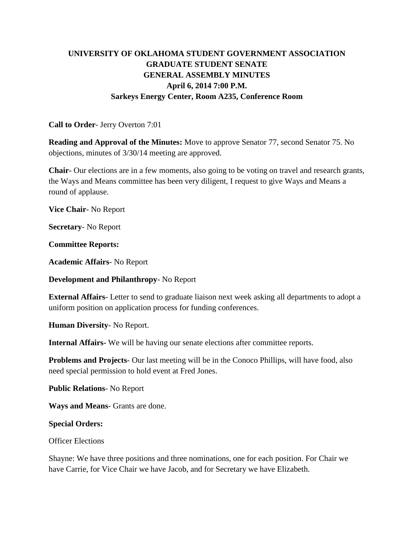# **UNIVERSITY OF OKLAHOMA STUDENT GOVERNMENT ASSOCIATION GRADUATE STUDENT SENATE GENERAL ASSEMBLY MINUTES April 6, 2014 7:00 P.M. Sarkeys Energy Center, Room A235, Conference Room**

## **Call to Order**- Jerry Overton 7:01

**Reading and Approval of the Minutes:** Move to approve Senator 77, second Senator 75. No objections, minutes of 3/30/14 meeting are approved.

**Chair-** Our elections are in a few moments, also going to be voting on travel and research grants, the Ways and Means committee has been very diligent, I request to give Ways and Means a round of applause.

**Vice Chair**- No Report

**Secretary**- No Report

**Committee Reports:** 

**Academic Affairs**- No Report

**Development and Philanthropy**- No Report

**External Affairs**- Letter to send to graduate liaison next week asking all departments to adopt a uniform position on application process for funding conferences.

**Human Diversity**- No Report.

**Internal Affairs-** We will be having our senate elections after committee reports.

**Problems and Projects**- Our last meeting will be in the Conoco Phillips, will have food, also need special permission to hold event at Fred Jones.

**Public Relations**- No Report

**Ways and Means**- Grants are done.

## **Special Orders:**

### Officer Elections

Shayne: We have three positions and three nominations, one for each position. For Chair we have Carrie, for Vice Chair we have Jacob, and for Secretary we have Elizabeth.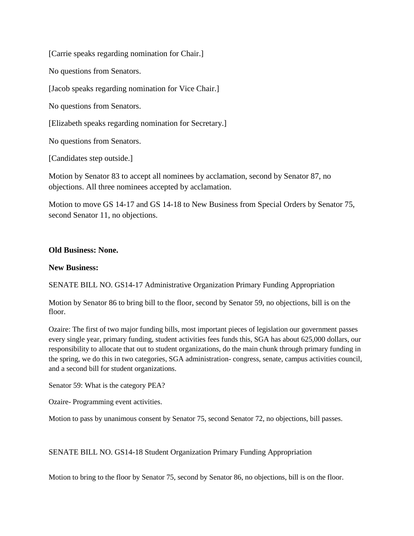[Carrie speaks regarding nomination for Chair.]

No questions from Senators.

[Jacob speaks regarding nomination for Vice Chair.]

No questions from Senators.

[Elizabeth speaks regarding nomination for Secretary.]

No questions from Senators.

[Candidates step outside.]

Motion by Senator 83 to accept all nominees by acclamation, second by Senator 87, no objections. All three nominees accepted by acclamation.

Motion to move GS 14-17 and GS 14-18 to New Business from Special Orders by Senator 75, second Senator 11, no objections.

### **Old Business: None.**

#### **New Business:**

SENATE BILL NO. GS14-17 Administrative Organization Primary Funding Appropriation

Motion by Senator 86 to bring bill to the floor, second by Senator 59, no objections, bill is on the floor.

Ozaire: The first of two major funding bills, most important pieces of legislation our government passes every single year, primary funding, student activities fees funds this, SGA has about 625,000 dollars, our responsibility to allocate that out to student organizations, do the main chunk through primary funding in the spring, we do this in two categories, SGA administration- congress, senate, campus activities council, and a second bill for student organizations.

Senator 59: What is the category PEA?

Ozaire- Programming event activities.

Motion to pass by unanimous consent by Senator 75, second Senator 72, no objections, bill passes.

SENATE BILL NO. GS14-18 Student Organization Primary Funding Appropriation

Motion to bring to the floor by Senator 75, second by Senator 86, no objections, bill is on the floor.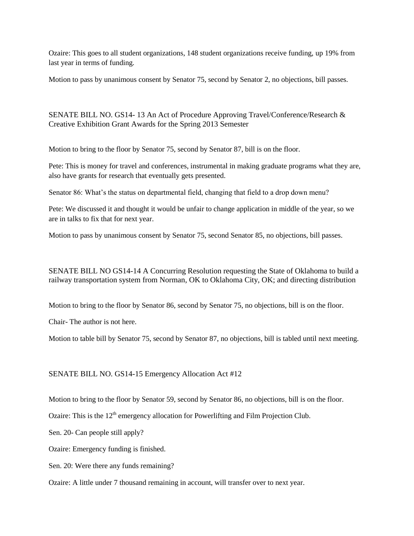Ozaire: This goes to all student organizations, 148 student organizations receive funding, up 19% from last year in terms of funding.

Motion to pass by unanimous consent by Senator 75, second by Senator 2, no objections, bill passes.

SENATE BILL NO. GS14- 13 An Act of Procedure Approving Travel/Conference/Research & Creative Exhibition Grant Awards for the Spring 2013 Semester

Motion to bring to the floor by Senator 75, second by Senator 87, bill is on the floor.

Pete: This is money for travel and conferences, instrumental in making graduate programs what they are, also have grants for research that eventually gets presented.

Senator 86: What's the status on departmental field, changing that field to a drop down menu?

Pete: We discussed it and thought it would be unfair to change application in middle of the year, so we are in talks to fix that for next year.

Motion to pass by unanimous consent by Senator 75, second Senator 85, no objections, bill passes.

SENATE BILL NO GS14-14 A Concurring Resolution requesting the State of Oklahoma to build a railway transportation system from Norman, OK to Oklahoma City, OK; and directing distribution

Motion to bring to the floor by Senator 86, second by Senator 75, no objections, bill is on the floor.

Chair- The author is not here.

Motion to table bill by Senator 75, second by Senator 87, no objections, bill is tabled until next meeting.

SENATE BILL NO. GS14-15 Emergency Allocation Act #12

Motion to bring to the floor by Senator 59, second by Senator 86, no objections, bill is on the floor.

Ozaire: This is the  $12<sup>th</sup>$  emergency allocation for Powerlifting and Film Projection Club.

Sen. 20- Can people still apply?

Ozaire: Emergency funding is finished.

Sen. 20: Were there any funds remaining?

Ozaire: A little under 7 thousand remaining in account, will transfer over to next year.